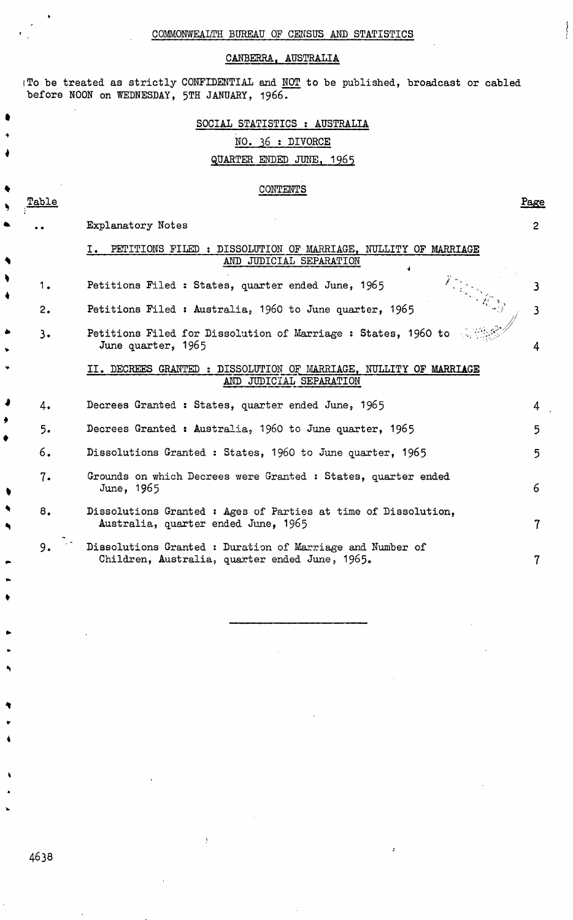$\left\{ \right.$ 

### CANBERRA. AUSTRALIA

I To be treated as strictly CONFIDENTIAL and  $\underline{\text{NOT}}$  to be published, broadcast or cabled before NOON on WEDNESDAY, 5TH JANUARY, 1966.

|       | SOCIAL STATISTICS : AUSTRALIA<br>NO. 36 : DIVORCE<br>QUARTER ENDED JUNE, 1965                               |                         |
|-------|-------------------------------------------------------------------------------------------------------------|-------------------------|
| 'able | <b>CONTENTS</b>                                                                                             | Page                    |
|       | Explanatory Notes                                                                                           | $\overline{2}$          |
|       | PETITIONS FILED: DISSOLUTION OF MARRIAGE, NULLITY OF MARRIAGE<br>$I_{\bullet}$<br>AND JUDICIAL SEPARATION   |                         |
| 1.    | Petitions Filed: States, quarter ended June, 1965                                                           | $\mathbf{3}$            |
| 2.    | Petitions Filed: Australia, 1960 to June quarter, 1965                                                      | $\overline{\mathbf{3}}$ |
| 3.    | Petitions Filed for Dissolution of Marriage: States, 1960 to<br>June quarter, 1965                          | 4                       |
|       | II. DECREES GRANTED : DISSOLUTION OF MARRIAGE, NULLITY OF MARRIAGE<br>AND JUDICIAL SEPARATION               |                         |
| 4.    | Decrees Granted: States, quarter ended June, 1965                                                           | 4                       |
| 5.    | Decrees Granted: Australia, 1960 to June quarter, 1965                                                      | 5                       |
| 6.    | Dissolutions Granted: States, 1960 to June quarter, 1965                                                    | 5                       |
| 7.    | Grounds on which Decrees were Granted : States, quarter ended<br>June, 1965                                 | 6                       |
| 8.    | Dissolutions Granted : Ages of Parties at time of Dissolution,<br>Australia, quarter ended June, 1965       | $\overline{7}$          |
| 9.    | Dissolutions Granted : Duration of Marriage and Number of<br>Children, Australia, quarter ended June, 1965. | 7                       |

4638

 $\bullet$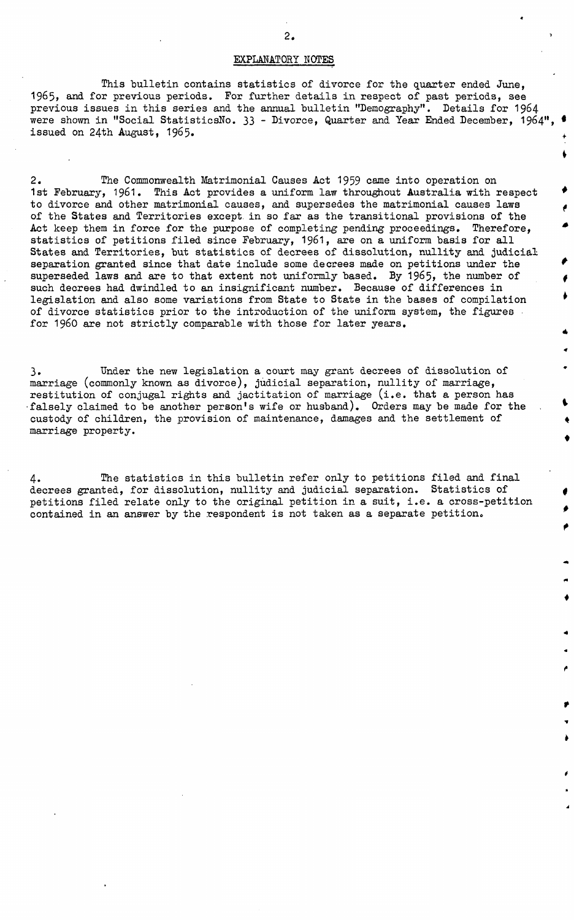#### EXPLANATORY NOTES

This bulletin contains statistics of divorce for the quarter ended June, 1965, and for previous periods. For further details in respect of past periods, see previous issues in this series and the annual bulletin "Demography". Details for 1964 were shown in "Social StatisticsNo. 33 - Divorce, Quarter and Year Ended December. 1964". issued on 24th August, 1965.

ţ.

 $\bullet$ 

2. The Commonwealth Matrimonial Causes Act 1959 came into operation on 1st February, 1961. This Act provides a uniform law throughout Australia with respect to divorce and other matrimonial causes, and supersedes the matrimonial causes laws of the States and Territories except in so far as the transitional provisions of the Act keep them in force for the purpose of completing pending proceedings. Therefore, statistics of petitions filed since February, 1961, are on a uniform basis for all States and Territories, but statistics of decrees of dissolution, nullity and judicial separation granted since that date include some decrees made on petitions under the superseded laws and are to that extent not uniformly based. By 1965, the number of such decrees had dwindled to an insignificant number. Because of differences in legislation and also some variations from State to State in the bases of compilation of divorce statistics prior to the introduction of the uniform system, the figures for 1960 are not strictly comparable with those for later years.

3. Under the new legislation a, court may grant decrees of dissolution of marriage (commonly known as divorce), judicial separation, nullity of marriage, restitution of conjugal rights and jactitation of marriage (i.e. that a person has falsely claimed to be another person's wife or husband). Orders may be made for the custody of children, the provision of maintenance, damages and the settlement of marriage property.

4. The statistics in this bulletin refer only to petitions filed and final decrees granted, for dissolution, nullity and judicial separation. Statistics of petitions filed relate only to the original petition in a suit, i.e. a cross-petition contained in an answer by the respondent is not taken as a separate petition.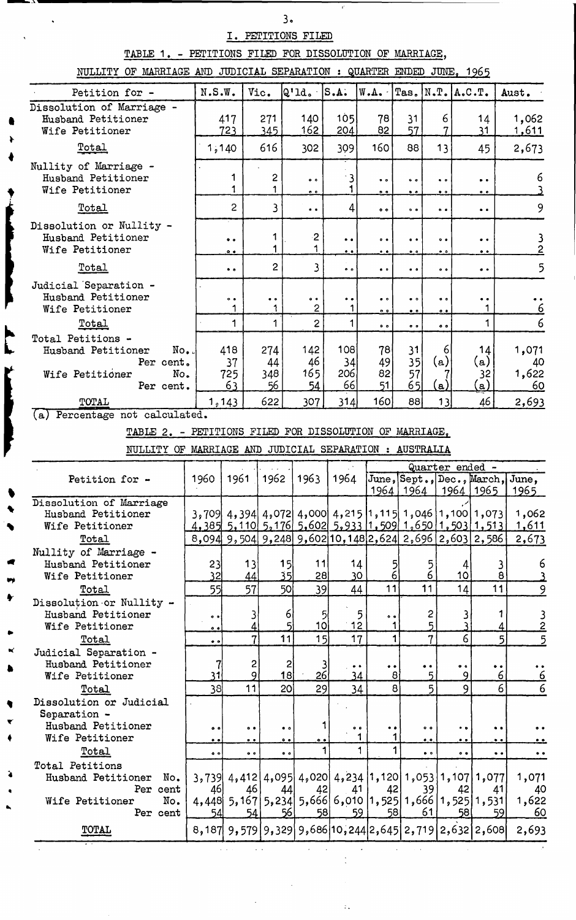## I. PETITIONS FILED

 $\ddot{\phantom{a}}$ 

 $3.$ 

 $\mathbf{r}^*$ 

TABLE 1. - PETITIONS FILED FOR DISSOLUTION OF MARRIAGE,

NIILLITY OF MARRIAGE AND JUDICIAL SEPARATION : QUARTER ENDED JUNE. 1965

| RUDITII OF MARILAGE AND CODICIAL DELARATION . COARTENT ENDER CONE, 1900 |                     |                     |                     |                                                                        |                     |                                                                         |                                                       |                                    |                          |                                               |                                               |
|-------------------------------------------------------------------------|---------------------|---------------------|---------------------|------------------------------------------------------------------------|---------------------|-------------------------------------------------------------------------|-------------------------------------------------------|------------------------------------|--------------------------|-----------------------------------------------|-----------------------------------------------|
| Petition for -                                                          | N.S.W.              |                     | Vic.                | $ Q'1d \cdot  S.A.$                                                    |                     | W.A.                                                                    | $Ta.s.$ $N.T.$ $A.C.T.$                               |                                    |                          |                                               | Aust.                                         |
| Dissolution of Marriage -                                               |                     |                     |                     |                                                                        |                     |                                                                         |                                                       |                                    |                          |                                               |                                               |
| Husband Petitioner                                                      |                     | 417                 | 271                 | 140                                                                    | 105                 | 78                                                                      | 31                                                    | 6                                  |                          | 14                                            | 1,062                                         |
| Wife Petitioner                                                         |                     | 723                 | 345                 | 162                                                                    | 204                 | 82                                                                      | 57                                                    | 7                                  |                          | 31                                            | <u>1,611</u>                                  |
| <u>Total</u>                                                            |                     | 1,140               | 616                 | 302                                                                    | 309                 | 160                                                                     | 88                                                    | 13                                 |                          | 45                                            | 2,673                                         |
| Nullity of Marriage -                                                   |                     |                     |                     |                                                                        |                     |                                                                         |                                                       |                                    |                          |                                               |                                               |
| Husband Petitioner                                                      |                     | 1                   | 2                   | $\bullet$ $\bullet$                                                    | 3                   | $\bullet$ $\bullet$                                                     | $\bullet$ $\bullet$                                   | $\bullet$ $\bullet$                |                          | $\bullet$                                     | 6                                             |
| Wife Petitioner                                                         |                     | 1                   | 1                   | 0 <sub>0</sub>                                                         | 1                   | $^{\circ}$                                                              | $\bullet$ .                                           | $\bullet$ $\bullet$                |                          | $^{\circ}$                                    |                                               |
| Total                                                                   |                     | $\overline{c}$      | 3                   | $\bullet$                                                              | $\vert 4 \vert$     | $^{\circ}$                                                              | 0 <sub>0</sub>                                        | $\bullet$ $\bullet$                |                          | $\bullet$                                     | 9                                             |
| Dissolution or Nullity -                                                |                     |                     |                     |                                                                        |                     |                                                                         |                                                       |                                    |                          |                                               |                                               |
| Husband Petitioner                                                      |                     | $\bullet$ $\bullet$ | 1                   | $\cdot$ 2                                                              | $\bullet$           | $^{\circ}$                                                              | $^{\circ}$                                            | $^{\circ}$                         |                          | $\bullet\hspace{0.4mm} \bullet\hspace{0.4mm}$ | $\frac{3}{2}$                                 |
| Wife Petitioner                                                         |                     | $^{\circ}$          | 1                   | 1                                                                      | $\bullet$ .         | $\ddot{\phantom{0}}$                                                    | $\bullet$ $\bullet$                                   | $\bullet$ $\bullet$                |                          | $\bullet$ .                                   |                                               |
| Total                                                                   |                     | $\bullet$           | $\mathbf{2}$        | 3                                                                      | $\bullet$ $\bullet$ | $\bullet$ $\bullet$                                                     | $\bullet\hspace{0.1cm} \bullet\hspace{0.1cm} \bullet$ | $\bullet$                          |                          | $\bullet$ $\bullet$                           | 5                                             |
| Judicial Separation -                                                   |                     |                     |                     |                                                                        |                     |                                                                         |                                                       |                                    |                          |                                               |                                               |
| Husband Petitioner                                                      |                     | $^{\circ}$          | $\bullet$ $\bullet$ | $\bullet$                                                              | $\bullet\bullet$    | $\bullet$ $\bullet$                                                     | $\bullet$ $\circ$                                     | $^{\circ}$                         |                          | $\bullet$                                     |                                               |
| Wife Petitioner                                                         |                     | 1                   | 1                   | $\overline{2}$                                                         | 1                   | 0 <sub>0</sub>                                                          | $\bullet$ .                                           | $^{\circ}$                         |                          | 1                                             | $\frac{1}{6}$                                 |
| Total                                                                   |                     | $\mathbf 1$         | 1                   | $\overline{2}$                                                         | 1                   | $\bullet$ $\bullet$                                                     | $^{\circ}$                                            | $^{\circ}$                         |                          | 1                                             | 6                                             |
| Total Petitions -                                                       |                     |                     |                     |                                                                        |                     |                                                                         |                                                       |                                    |                          |                                               |                                               |
| Husband Petitioner<br>No.                                               |                     | 418                 | 274                 | 142                                                                    | 108                 | 78                                                                      | 31                                                    | 6                                  |                          | 14                                            | 1,071                                         |
| Per cent.                                                               |                     | 37                  | 44                  | 46                                                                     | 34                  | 49                                                                      | 35                                                    | (a)                                |                          | (a)                                           | 40                                            |
| No.<br>Wife Petitioner                                                  |                     | 725                 | 348                 | 165                                                                    | 206                 | 82                                                                      | 57                                                    |                                    |                          | 32                                            | 1,622                                         |
| Per cent.                                                               |                     | 63                  | 56                  | 54                                                                     | 66                  | 51                                                                      | 65                                                    | <u>(a)</u>                         |                          | $\left( \underline{a}\right)$                 | 60                                            |
| TOTAL                                                                   |                     | 1,143               | 622                 | 307                                                                    | 314                 | 160                                                                     | 88                                                    | 13                                 |                          | 46                                            | 2,693                                         |
| Percentage not calculated.<br>(a)                                       |                     |                     |                     |                                                                        |                     |                                                                         |                                                       |                                    |                          |                                               |                                               |
| TABLE 2. - PETITIONS FILED FOR DISSOLUTION OF MARRIAGE.                 |                     |                     |                     |                                                                        |                     |                                                                         |                                                       |                                    |                          |                                               |                                               |
|                                                                         |                     |                     |                     |                                                                        |                     |                                                                         |                                                       |                                    |                          |                                               |                                               |
| NULLITY OF MARRIAGE AND JUDICIAL SEPARATION : AUSTRALIA                 |                     |                     |                     |                                                                        |                     |                                                                         |                                                       |                                    |                          |                                               |                                               |
|                                                                         |                     |                     |                     |                                                                        |                     |                                                                         |                                                       | Quarter ended -                    |                          |                                               |                                               |
| Petition for -                                                          | 1960                | 1961                | 1962                | 1963                                                                   | 1964                |                                                                         | 1964   1964                                           |                                    |                          | 1964   1965                                   | June, Sept., Dec., March, June,               |
| Dissolution of Marriage                                                 |                     |                     |                     |                                                                        |                     |                                                                         |                                                       |                                    |                          |                                               | 1965                                          |
| Husband Petitioner                                                      |                     |                     |                     | 3,709 4,394 4,072 4,000 4,215 1,115 1,046 1,100 1,073                  |                     |                                                                         |                                                       |                                    |                          |                                               | 1,062                                         |
| Wife Petitioner                                                         |                     |                     |                     | <u>4, 385 5, 110 5, 176 5, 602 5, 933 1, 509 1, 650 1, 503 1, 513 </u> |                     |                                                                         |                                                       |                                    |                          |                                               | <u>1,611</u>                                  |
| Total                                                                   |                     |                     |                     | 8,094 9,504 9,248 9,602 10,148 2,624 2,696 2,603 2,586                 |                     |                                                                         |                                                       |                                    |                          |                                               | 2,673                                         |
| Nullity of Marriage -                                                   |                     |                     |                     |                                                                        |                     |                                                                         |                                                       |                                    |                          |                                               |                                               |
| Husband Petitioner                                                      | 23                  | 13                  |                     | 15<br>11                                                               |                     | 14                                                                      | $\frac{5}{6}$                                         | 5                                  | 4                        | 3                                             | 6                                             |
| Wife Petitioner                                                         | <u>32</u>           | 44                  |                     | 35<br>28                                                               |                     | 30                                                                      |                                                       | $\overline{6}$                     | 10 <sub>2</sub>          | $\pmb{8}$                                     |                                               |
| Total                                                                   | 55                  | 57                  |                     | 50 <sub>l</sub><br>39                                                  |                     | 11<br>44                                                                |                                                       | 11                                 | 14                       | 11                                            | 9                                             |
| Dissolution or Nullity -                                                |                     |                     |                     |                                                                        |                     |                                                                         |                                                       |                                    |                          |                                               |                                               |
| Husband Petitioner                                                      | $\bullet$           |                     | 3                   | $\vert 6 \vert$                                                        | 5                   | 5<br>$^{\circ}$                                                         |                                                       | 2                                  | 3                        | 1                                             | $\frac{3}{2}$                                 |
| Wife Petitioner                                                         | 0.9                 |                     | 4                   | 10 <sup>1</sup><br>5                                                   |                     | 12                                                                      | 1                                                     | 5                                  |                          | 4                                             |                                               |
| Total                                                                   | $\bullet$ $\bullet$ |                     | 7                   | 11<br>15                                                               |                     | 17                                                                      | 1                                                     | $\overline{7}$                     | 6                        |                                               | $\mathbf{5}$<br>5                             |
| Judicial Separation -                                                   |                     |                     |                     |                                                                        |                     |                                                                         |                                                       |                                    |                          |                                               |                                               |
| Husband Petitioner<br>Wife Petitioner                                   | 7<br>31             |                     | 2<br>9              | $\overline{2}$<br>$\frac{3}{26}$<br>18                                 |                     | $\bullet\hspace{0.4mm} \bullet\hspace{0.4mm}$<br>$\bullet\bullet$<br>34 | $\mathbf{8}$                                          | $\bullet\hspace{1mm} \bullet$<br>5 | $\bullet$ $\bullet$<br>9 | $\bullet\; \bullet$<br>6                      | $\bullet$ $\bullet$<br>6                      |
| Total                                                                   | 38                  | 11                  |                     | 29<br>20 <sup>1</sup>                                                  |                     | 34                                                                      | $\bf{8}$                                              | 5                                  | 9                        | 6                                             | $\overline{6}$                                |
| Dissolution or Judicial                                                 |                     |                     |                     |                                                                        |                     |                                                                         |                                                       |                                    |                          |                                               |                                               |
| Separation -                                                            |                     |                     |                     |                                                                        |                     |                                                                         |                                                       |                                    |                          |                                               |                                               |
| Husband Petitioner                                                      | 0 <sub>0</sub>      | $\bullet$           |                     | $\bullet$ $\circ$                                                      | 1                   | $\ddot{\bullet}$ $\bullet$<br>$\bullet$                                 |                                                       | $\bullet$ $\bullet$                | $\bullet$ $\bullet$      | $\bullet$                                     |                                               |
| Wife Petitioner                                                         | $\bullet$           | $^{\circ}$          |                     | $\bullet$<br>$^{\circ}$                                                |                     | 1                                                                       |                                                       | $\bullet$ .                        | $\bullet$ .              | $\bullet$                                     |                                               |
| Total                                                                   | $\bullet$ $\bullet$ | $\bullet$ $\bullet$ |                     | $\bullet$ $\bullet$                                                    | 1                   | 1                                                                       | 1                                                     | $\bullet$ $\bullet$                | $\bullet$                | $\bullet$                                     | $\bullet\hspace{0.4mm} \bullet\hspace{0.4mm}$ |
| Total Petitions                                                         |                     |                     |                     |                                                                        |                     |                                                                         |                                                       |                                    |                          |                                               |                                               |
| Husband Petitioner<br>No.                                               | 3,739               |                     |                     | 4,412 4,095 4,020 4,234 1,120 1,053 1,107 1,077                        |                     |                                                                         |                                                       |                                    |                          |                                               | 1,071                                         |
| Per cent                                                                | 46                  | 46                  |                     | 42<br>44                                                               |                     | 41                                                                      | 42                                                    | 39                                 | 42                       | 41                                            | 40                                            |
| No.<br>Wife Petitioner                                                  |                     |                     |                     | 4,448 5,167 5,234 5,666 6,010 1,525 1,666 1,525 1,531                  |                     |                                                                         |                                                       |                                    |                          |                                               | 1,622                                         |
|                                                                         |                     |                     |                     |                                                                        |                     |                                                                         |                                                       |                                    |                          |                                               |                                               |
| Per cent                                                                | 54                  |                     | 54                  | 56 <br>58                                                              |                     | 59                                                                      | 58                                                    | 61                                 | 58                       | 59                                            | 60                                            |
| TOTAL                                                                   | 8,187               |                     |                     | $9,579$  9,329 9,686 10,244 2,645 2,719 2,632 2,608                    |                     |                                                                         |                                                       |                                    |                          |                                               | 2,693                                         |

 $\alpha$  ,  $\alpha$ 

 $\sim$   $\sim$ 

 $\sim 10$ 

 $\mathcal{A}^{\prime}$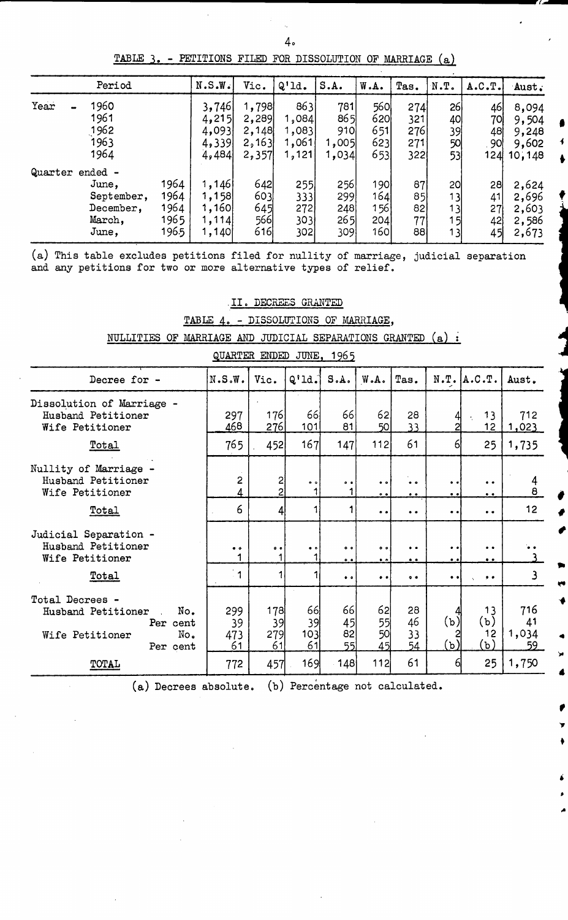TABLE 3. - PETITIONS FILED FOR DISSOLUTION OP MARRIAGE (a)

| Period          |      | N.S.W. | Vic.  | $Q'$ ld. | S.A.  | W.A.       | Tas. | N.T. | A.C.T. | Aust.  |
|-----------------|------|--------|-------|----------|-------|------------|------|------|--------|--------|
| Year<br>1960    |      | 3,746  | 1,798 | 863      | 781   | <b>560</b> | 274  | 26   | 46     | 8,094  |
| 1961            |      | 4,215  | 2,289 | 1,084    | 865   | 620        | 321  | 40   | 70l    | 9,504  |
| 1962            |      | 4,093  | 2,148 | 1,083    | 910   | 651        | 276  | 39   | 48     | 9,248  |
| 1963            |      | 4,339  | 2,163 | 1,061    | 1,005 | 623        | 271  | 5이   | 90     | 9,602  |
| 1964            |      | 4,484  | 2,357 | 1,121    | 1,034 | 653        | 322  | 53   | 124    | 10,148 |
| Quarter ended - |      |        |       |          |       |            |      |      |        |        |
| June,           | 1964 | 1,146  | 642   | 255      | 256   | 190        | 87   | 20   | 28     | 2,624  |
| September,      | 1964 | 1,158  | 603   | 3331     | 299   | 164        | 85   | 13   | 41     | 2,696  |
| December,       | 1964 | 1,160  | 645   | 272      | 248   | 156        | 82   | 13   | 27     | 2,603  |
| March,          | 1965 | 1,114  | 566   | 3031     | 265   | 204        | 77   | 15   | 42     | 2,586  |
| June,           | 1965 | 1,140  | 616   | 302      | 3091  | 160        | 88   | 13   | 45     | 2,673  |

(a) This table excludes petitions filed for nullity of marriage, judicial separation and any petitions for two or more alternative types of relief.

|  |  | II. DECREES GRANTED<br>والمستوفي والمحامل المربانات بالمناوي والمواردة بالمراجع والمواسع المسادي والموارد والمواسع المستورات |  |                                      |
|--|--|------------------------------------------------------------------------------------------------------------------------------|--|--------------------------------------|
|  |  |                                                                                                                              |  | TABLE 4. - DISSOLUTIONS OF MARRIAGE, |

NULLITIES OF MARRIAGE AND JUDICIAL SEPARATIONS GRANTED (a) :

| gummm mundu vung<br><u>____</u>                                                                |                          |                                |                          |                              |                                   |                                          |                                      |                                                             |                          |  |  |  |
|------------------------------------------------------------------------------------------------|--------------------------|--------------------------------|--------------------------|------------------------------|-----------------------------------|------------------------------------------|--------------------------------------|-------------------------------------------------------------|--------------------------|--|--|--|
| Decree for -                                                                                   | N.S.W.                   | Vic.                           | $Q'$ ld.                 | S.A.                         | W.A.                              | Tas.                                     |                                      | $N.T.$ $A.C.T.$                                             | Aust.                    |  |  |  |
| Dissolution of Marriage -<br>Husband Petitioner<br>Wife Petitioner                             | 297<br>468               | 176<br>276                     | 66<br>101                | 66<br>81                     | 62<br>50                          | 28<br>33                                 | 4<br>2                               | 13<br>12 <sub>2</sub>                                       | 712<br><u>1,023</u>      |  |  |  |
| <b>Total</b>                                                                                   | 765                      | 452                            | 167                      | 147                          | 112                               | 61                                       | 61                                   | 25                                                          | 1,735                    |  |  |  |
| Nullity of Marriage -<br>Husband Petitioner<br>Wife Petitioner                                 | 2<br>4                   | $\mathsf{S}$<br>$\overline{2}$ | $\bullet$ $\bullet$<br>1 | $\bullet$                    | $\bullet$ $\bullet$<br>$^{\circ}$ | $\bullet$<br>$\bullet$                   | $\bullet\bullet$<br>$\bullet$        | $\bullet\hspace{0.4mm}\bullet\hspace{0.4mm}$<br>$\bullet$ . | $\frac{4}{8}$            |  |  |  |
| Total                                                                                          | 6                        | $\frac{4}{3}$                  |                          | 1                            | $\bullet\bullet$                  | $\bullet\hspace{1mm}\bullet\hspace{1mm}$ | $\bullet\bullet$                     | $\bullet\hspace{0.4mm}\bullet\hspace{0.4mm}$                | 12 <sub>2</sub>          |  |  |  |
| Judicial Separation -<br>Husband Petitioner<br>Wife Petitioner                                 | $\bullet$ $\bullet$<br>1 | $^{\circ}$<br>1                | $\bullet$ $\bullet$      | $^{\circ}$<br>$^{\circ}$     | $^{\circ}$<br>$\bullet$ $\bullet$ | $\bullet$<br>$\bullet$ $\bullet$         | $\bullet\bullet$<br>$\bullet\bullet$ | $\bullet$<br>$\bullet\hspace{0.1cm} \bullet\hspace{0.1cm}$  |                          |  |  |  |
| Total                                                                                          | $\overline{1}$           |                                |                          | $\bullet$ $\bullet$          | $\bullet\;\bullet$                | $\bullet$                                | $\bullet$                            | $\bullet$ $\bullet$                                         | $\overline{\mathbf{3}}$  |  |  |  |
| Total Decrees -<br>No.<br>Husband Petitioner<br>Per cent<br>No.<br>Wife Petitioner<br>Per cent | 299<br>39<br>473<br>61   | 178<br>39<br>279<br>61         | 66<br>39<br>103<br>61    | 66<br>45<br>82<br><u>55l</u> | 62<br>55 <br>5이<br>45             | 28<br>46<br>33<br>54                     | 4<br>(ъ)<br>(ъ)                      | 13<br>(ъ)<br>12<br>(b)                                      | 716<br>41<br>1,034<br>59 |  |  |  |
| TOTAL                                                                                          | 772                      | 457                            | 169                      | 148                          | 112                               | 61                                       | 6                                    | 25                                                          | 1,750                    |  |  |  |

QUARTER ENDED JUNE, 1965

(a) Decrees absolute. (b) Percentage not calculated.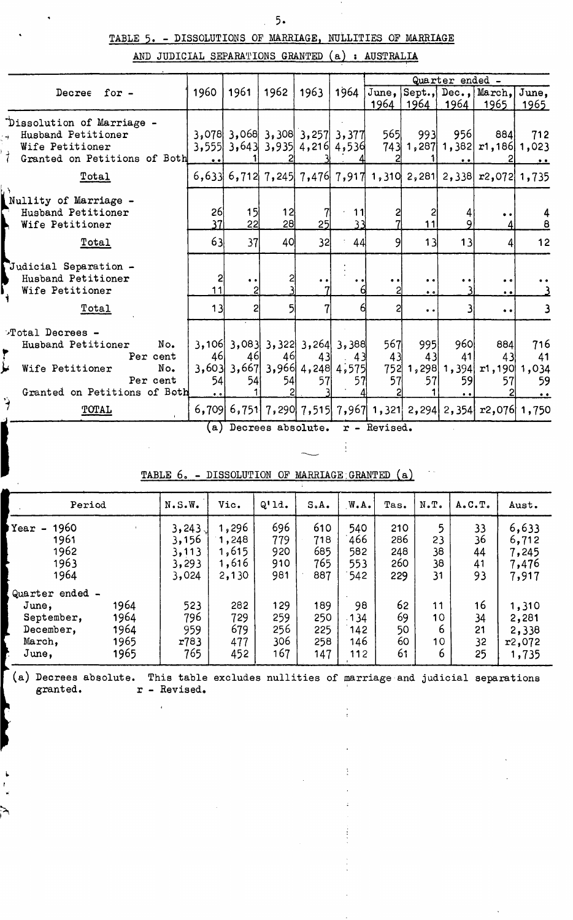## TABLE 5. - DISSOLUTIONS OF MARRIAGE. NULLITIES OF MARRIAGE

AND JUDICIAL SEPARATIONS GRANTED (a) » AUSTRALIA

|                                                                                                                                |                                 |                             |                       |                                                                                |          |                 |                                  | Quarter ended - |                                                                  |                          |
|--------------------------------------------------------------------------------------------------------------------------------|---------------------------------|-----------------------------|-----------------------|--------------------------------------------------------------------------------|----------|-----------------|----------------------------------|-----------------|------------------------------------------------------------------|--------------------------|
| Decree for -                                                                                                                   | 1960                            | 1961                        | 1962                  | 1963                                                                           | 1964     |                 | 1964   1964                      | 1964            | June, Sept., Dec., March, June,<br>1965                          | <u> 1965 </u>            |
| Dissolution of Marriage -<br>Husband Petitioner<br>Wife Petitioner<br>Granted on Petitions of Both                             |                                 |                             |                       | $3,078$ 3,068 3,308 3,257 3,377<br>$3,555$ 3,643 3,935 4,216 4,536             |          | 565             | 993                              | 956             | 884<br>$743$ 1, 287 1, 382 $r1$ , 186 1, 023                     | 712                      |
| <u>Total</u>                                                                                                                   |                                 |                             |                       |                                                                                |          |                 |                                  |                 | $6,633$ 6,712 7,245 7,476 7,917 1,310 2,281 2,338 $r2,072$ 1,735 |                          |
| Nullity of Marriage -<br>Husband Petitioner<br>Wife Petitioner                                                                 | 26<br>37                        | 15<br>22                    | 12<br>28 <sup>1</sup> | 25 <sub>l</sub>                                                                | 11<br>33 |                 | 11                               |                 | $\bullet\hspace{0.1cm} \bullet\hspace{0.1cm}$                    |                          |
| <u>Total</u>                                                                                                                   | 63                              | 37                          | 40                    | 32                                                                             | 44       | 91              | 13                               | 13              |                                                                  | 12                       |
| Judicial Separation -<br>Husband Petitioner<br>Wife Petitioner                                                                 | 11                              | $\bullet$<br>$\overline{c}$ |                       |                                                                                |          |                 | $\bullet$<br>$\bullet$ $\bullet$ |                 | $^{\circ}$<br>$\ddot{\phantom{0}}$                               |                          |
| <u>Total</u>                                                                                                                   | 13                              | 2                           |                       |                                                                                |          |                 | $\bullet$                        |                 | $\bullet$ $\bullet$                                              |                          |
| Total Decrees -<br>No.<br>Husband Petitioner<br>Per cent<br>Wife Petitioner<br>No.<br>Per cent<br>Granted on Petitions of Both | 46<br>54<br>$\bullet$ $\bullet$ | 46<br>54                    | 46<br>54              | $3,106$ 3,083 3,322 3,264 3,388<br>43<br>$3,603$ 3,667 3,966 4,248 4,575<br>57 | 43<br>57 | 567<br>43<br>57 | 995<br>43<br>57                  | 960<br>41<br>59 | 884<br>43<br>752 1, 298 1, 394 r1, 190                           | 716<br>41<br>1,034<br>59 |
| ý,<br>TOTAL                                                                                                                    |                                 |                             |                       |                                                                                |          |                 |                                  |                 | $6,709$ 6,751 7,290 7,515 7,967 1,321 2,294 2,354 $r2,076$ 1,750 |                          |

(a) Decrees absolute, r - Revised.

Î,

 $\frac{1}{2}$ 

 $\ddot{\gamma}$ 

| TABLE 6. |  | - DISSOLUTION OF MARRIAGE GRANTED (a) |  |
|----------|--|---------------------------------------|--|
|          |  |                                       |  |

| Period                                                                 |                                      | N.S.W.                                     | Vic.                                      | Q'11.                           | S <sub>o</sub> A <sub>o</sub>   | W.A.                            | Tas.                            | N.T.                                               | A.C.T.                     | Aust.                                      |
|------------------------------------------------------------------------|--------------------------------------|--------------------------------------------|-------------------------------------------|---------------------------------|---------------------------------|---------------------------------|---------------------------------|----------------------------------------------------|----------------------------|--------------------------------------------|
| 1960<br>Year<br>$\blacksquare$<br>1961<br>1962<br>1963<br>1964         |                                      | 3,243<br>3,156<br>3, 113<br>3,293<br>3,024 | 1,296<br>1,248<br>1,615<br>1,616<br>2,130 | 696<br>779<br>920<br>910<br>981 | 610<br>718<br>685<br>765<br>887 | 540<br>466<br>582<br>553<br>542 | 210<br>286<br>248<br>260<br>229 | 5<br>23<br>38<br>38<br>31                          | 33<br>36<br>44<br>41<br>93 | 6,633<br>6,712<br>7,245<br>7,476<br>7,917  |
| Quarter ended -<br>June;<br>September,<br>December,<br>March,<br>June, | 1964<br>1964<br>1964<br>1965<br>1965 | 523<br>796<br>959<br>r783<br>765           | 282<br>729<br>679<br>477<br>452           | 129<br>259<br>256<br>306<br>167 | 189<br>250<br>225<br>258<br>147 | 98<br>.134<br>142<br>146<br>112 | 62<br>69<br>50<br>60<br>61      | 11<br>10 <sub>1</sub><br>6<br>10 <sub>1</sub><br>6 | 16<br>34<br>21<br>32<br>25 | 1,310<br>2,281<br>2,338<br>r2,072<br>1,735 |

(a) Decrees absolute. This table excludes nullities of marriage and judicial separations granted.  $r$  - Revised.

 $\overline{1}$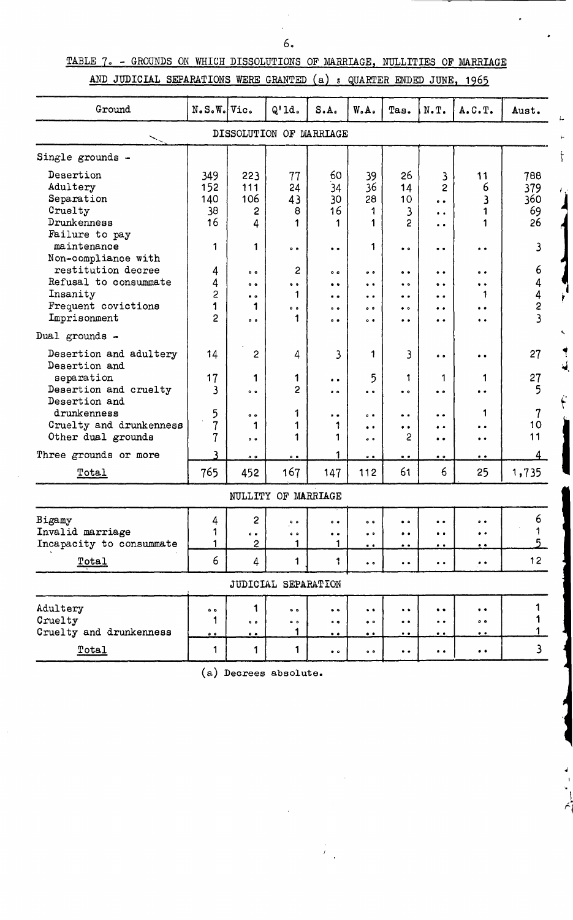# TABLE 7. - GROUNDS ON WHICH DISSOLUTIONS OF MARRIAGE, NULLITIES OF MARRIAGE AND JUDICIAL SEPARATIONS WERE GRANTED (a) : QUARTER ENDED JUNE, 1965

| Ground                                                                                          | $N.S.W.$ $Vic.$               |                                                                                   | $Q1$ ld.                                        | S.A.                                                                               | W.A.                                                                         | Tas.                                                                            | $N \cdot T$ .                                                         | A. C. T.                                                                    | Aust.                         |
|-------------------------------------------------------------------------------------------------|-------------------------------|-----------------------------------------------------------------------------------|-------------------------------------------------|------------------------------------------------------------------------------------|------------------------------------------------------------------------------|---------------------------------------------------------------------------------|-----------------------------------------------------------------------|-----------------------------------------------------------------------------|-------------------------------|
|                                                                                                 |                               |                                                                                   | DISSOLUTION OF MARRIAGE                         |                                                                                    |                                                                              |                                                                                 |                                                                       |                                                                             |                               |
| Single grounds -                                                                                |                               |                                                                                   |                                                 |                                                                                    |                                                                              |                                                                                 |                                                                       |                                                                             |                               |
| Desertion<br>Adultery<br>Separation<br>Cruelty<br>Drunkenness<br>Failure to pay                 | 349<br>152<br>140<br>38<br>16 | 223<br>111<br>106<br>2<br>4                                                       | 77<br>24<br>43<br>8<br>1                        | 60<br>34<br>30<br>16                                                               | 39<br>36<br>28<br>1<br>1                                                     | 26<br>14<br>10<br>3<br>2                                                        | 3<br>$\overline{2}$<br>$\bullet$<br>$\ddot{\phantom{a}}$<br>$\bullet$ | 11<br>6<br>3<br>1<br>1                                                      | 788<br>379<br>360<br>69<br>26 |
| maintenance<br>Non-compliance with                                                              | 1                             | 1                                                                                 | $\bullet$ $\bullet$                             | $\bullet$                                                                          | 1                                                                            | $\bullet$                                                                       | $\bullet$                                                             | $\bullet$                                                                   | 3                             |
| restitution decree<br>Refusal to consummate<br>Insanity<br>Frequent covictions<br>Imprisonment  | 4<br>4<br>2<br>1<br>2         | 0 <sub>0</sub><br>$\ddot{\bullet}$<br>$\bullet$ $\bullet$<br>1<br>$\circ$ $\circ$ | 2<br>$\bullet$<br>1<br>$\bullet$ $\bullet$<br>1 | 0 <sub>0</sub><br>$\bullet$<br>$\bullet$ $\bullet$<br>0 <sub>0</sub><br>$^{\circ}$ | $\bullet$<br>$\ddot{\bullet}$<br>$\bullet$<br>$^{\circ}$<br>$\ddot{\bullet}$ | $\bullet$<br>$\bullet$ $\bullet$<br>$\bullet$<br>$\bullet$ $\circ$<br>$\bullet$ | $\bullet$<br>$\bullet$<br>$\bullet$<br>$\bullet$<br>$\bullet$         | $\bullet$<br>$\bullet$<br>1<br>$\ddot{\phantom{0}}$<br>$\ddot{\phantom{a}}$ | 6<br>4<br>$\frac{4}{2}$       |
| Dual grounds -                                                                                  |                               |                                                                                   |                                                 |                                                                                    |                                                                              |                                                                                 |                                                                       |                                                                             |                               |
| Desertion and adultery<br>Desertion and<br>separation<br>Desertion and cruelty<br>Desertion and | 14<br>17<br>3                 | 2<br>1<br>$^{\circ}$                                                              | 4<br>1<br>2                                     | 3<br>$\bullet$<br>$^{\circ}$                                                       | 1<br>5<br>$\ddot{\phantom{0}}$                                               | 3<br>1<br>$\bullet$                                                             | $^{\circ}$<br>1<br>$\bullet$                                          | $\bullet$<br>1<br>$\ddot{\phantom{0}}$                                      | 27<br>27<br>5                 |
| drunkenness<br>Cruelty and drunkenness<br>Other dual grounds                                    | 5<br>$\overline{7}$<br>7      | $\bullet$<br>1<br>0 <sub>0</sub>                                                  | 1<br>1<br>1                                     | $\bullet\; \bullet$<br>1                                                           | $^{\circ}$<br>$\bullet$<br>$\ddot{\phantom{0}}$                              | $\ddot{\phantom{a}}$<br>$\bullet$<br>2                                          | $\ddot{\phantom{a}}$<br>$\ddot{\phantom{a}}$<br>$\ddot{\bullet}$      | 1<br>$\ddot{\phantom{a}}$<br>$\ddot{\phantom{a}}$                           | $\overline{7}$<br>10<br>11    |
| Three grounds or more                                                                           |                               | 0 <sub>0</sub>                                                                    | $0-6$                                           | 1                                                                                  | $\bullet$                                                                    | $\bullet$                                                                       | $\bullet$                                                             | $\bullet$                                                                   |                               |
| Total                                                                                           | 765                           | 452                                                                               | 167                                             | 147                                                                                | 112                                                                          | 61                                                                              | 6                                                                     | 25                                                                          | 1,735                         |
|                                                                                                 |                               |                                                                                   | NULLITY OF MARRIAGE                             |                                                                                    |                                                                              |                                                                                 |                                                                       |                                                                             |                               |
| Bigamy<br>Invalid marriage<br>Incapacity to consummate                                          | 4<br>1                        | $\overline{c}$<br>$\bullet$ $\bullet$<br>$\overline{c}$                           | $\bullet$ $\bullet$<br>$\bullet$ $\bullet$<br>1 | 0 <sub>0</sub><br>$\bullet$<br>1                                                   | $^{\circ}$<br>$^{\circ}$<br>$\bullet$                                        | $\bullet$ $\bullet$<br>$\bullet\bullet$<br>$\bullet$                            | $\bullet$<br>$\bullet$<br>$\bullet\ \bullet$                          | $\bullet$<br>$\bullet$<br>$\bullet$                                         | 6<br>5                        |
| Total                                                                                           | 6                             | 4                                                                                 | 1                                               | 1                                                                                  | $\bullet$ $\bullet$                                                          | $\bullet$ $\bullet$                                                             | $\bullet\hspace{0.4mm}\bullet\hspace{0.4mm}$                          | $\bullet$ $\bullet$                                                         | 12 <sub>1</sub>               |
|                                                                                                 |                               |                                                                                   | JUDICIAL SEPARATION                             |                                                                                    |                                                                              |                                                                                 |                                                                       |                                                                             |                               |
| Adultery<br>Cruelty<br>Cruelty and drunkenness                                                  | $\bullet$<br>1<br>0.0         | 1<br>$\bullet$<br>0.0                                                             | $^{\circ}$<br>$\bullet$<br>1                    | $\bullet$<br>$\bullet$<br>$\bullet$                                                | $\bullet$<br>$^{\circ}$<br>$\bullet$ $\bullet$                               | $\bullet$<br>$\bullet$ $\bullet$<br>$\bullet$ .                                 | $\bullet$<br>$\ddot{\phantom{0}}$<br>$\bullet$ $\bullet$              | $\bullet$<br>$\bullet$ $\bullet$<br>$\cdot$                                 | 1<br>1                        |
| Total                                                                                           | 1                             | 1                                                                                 | 1                                               | $\bullet\hspace{1mm} \bullet$                                                      | $0 - 0$                                                                      | $\bullet$                                                                       | $\bullet\hspace{0.4mm}\bullet\hspace{0.4mm}$                          | $\bullet$ $\bullet$                                                         | $\mathbf{3}$                  |

Ų

(a) Decrees absolute.